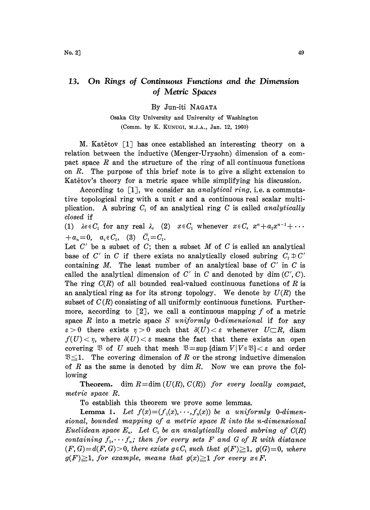## 13. On Rings of Continuous Functions and the Dimension of Metric Spaces

By Jun-iti NAGATA

Osaka City University and University of Washington (Comm. by K. KUNUGI, M.J.A., Jan. 12, 1960)

M. Katětov  $\lceil 1 \rceil$  has once established an interesting theory on a relation between the inductive (Menger-Urysohn) dimension of a compact space  $R$  and the structure of the ring of all continuous functions on R. The purpose of this brief note is to give a slight extension to Katětov's theory for a metric space while simplifying his discussion.

According to  $\lceil 1 \rceil$ , we consider an *analytical ring*, i.e. a commutative topological ring with a unit e and a continuous real scalar multiplication. A subring  $C_1$  of an analytical ring C is called analytically closed if

(1)  $\lambda e \in C_1$  for any real  $\lambda$ , (2)  $x \in C_1$  whenever  $x \in C$ ,  $x^n + a_1 x^{n-1} + \cdots$  $+a_n=0$ ,  $a_i \in C_1$ , (3)  $\bar{C}_1=C_1$ .

Let  $C'$  be a subset of  $C$ ; then a subset  $M$  of  $C$  is called an analytical base of C' in C if there exists no analytically closed subring  $C_1 \oplus C'$ containing  $M$ . The least number of an analytical base of  $C'$  in  $C$  is called the analytical dimension of  $C'$  in C and denoted by dim  $(C', C)$ . The ring  $C(R)$  of all bounded real-valued continuous functions of R is an analytical ring as for its strong topology. We denote by  $U(R)$  the subset of  $C(R)$  consisting of all uniformly continuous functions. Furthermore, according to  $\lceil 2 \rceil$ , we call a continuous mapping f of a metric space  $R$  into a metric space  $S$  uniformly 0-dimensional if for any  $\varepsilon > 0$  there exists  $\eta > 0$  such that  $\delta(U) < \varepsilon$  whenever  $U \subset R$ , diam  $f(U) < \eta$ , where  $\delta(U) < \varepsilon$  means the fact that there exists an open covering  $\mathfrak{B}$  of U such that mesh  $\mathfrak{B} = \sup \{ \text{diam } V | V \in \mathfrak{B} \} < \varepsilon$  and order  $\mathfrak{B} \leq 1$ . The covering dimension of R or the strong inductive dimension of  $R$  as the same is denoted by dim  $R$ . Now we can prove the following

**Theorem.** dim  $R = \dim (U(R), C(R))$  for every locally compact, metric space R.

To establish this theorem we prove some lemmas.

**Lemma 1.** Let  $f(x) = (f_1(x), \dots, f_n(x))$  be a uniformly 0-dimensional, bounded mapping of <sup>a</sup> metric space R into the n-dimensional Euclidean space  $E_n$ . Let  $C_1$  be an analytically closed subring of  $C(R)$ containing  $f_1,\dots f_n$ ; then for every sets F and G of R with distance  $(F, G)=d(F, G)>0$ , there exists  $g\in C_1$  such that  $g(F)\geq 1$ ,  $g(G)=0$ , where  $g(F) \geq 1$ , for example, means that  $g(x) \geq 1$  for every  $x \in F$ .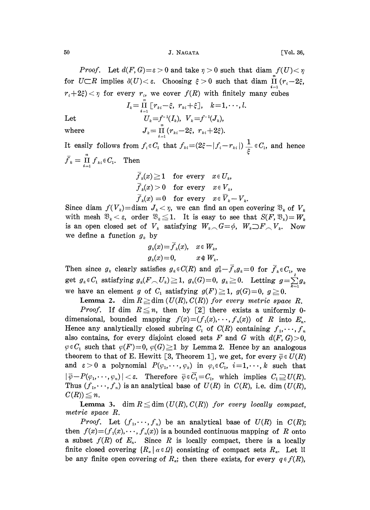50 **J. NAGATA** [Vol. 36,

*Proof.* Let  $d(F, G) = \varepsilon > 0$  and take  $\eta > 0$  such that diam  $f(U) < \eta$ for  $U\subset \mathbb{R}$  implies  $\delta(U)<\varepsilon$ . Choosing  $\xi>0$  such that diam  $\prod_{i=1}^{\infty}(r_i-2\xi)$ ,  $r_i+2\xi$  or every  $r_i$ , we cover  $f(R)$  with finitely many cubes

$$
I_k = \prod_{i=1}^n \left[ r_{ki} - \xi, \ r_{ki} + \xi \right], \quad k = 1, \cdots, l.
$$
  
Let 
$$
U_k = f^{-1}(I_k), \quad V_k = f^{-1}(J_k),
$$
  
where 
$$
J_k = \prod_{i=1}^n \left( r_{ki} - 2\xi, \ r_{ki} + 2\xi \right).
$$

It easily follows from  $f_i \in C_1$  that  $f_{ki} = (2\xi - |f_i - r_{ki}|) \frac{1}{\xi} \in C_1$ , and hence  $\bar{f}_k=\prod_{i=1}^n f_{ki} \in C_1$ . Then

$$
\overline{f}_k(x) \ge 1 \quad \text{for every} \quad x \in U_k,
$$
  

$$
\overline{f}_k(x) > 0 \quad \text{for every} \quad x \in V_k,
$$
  

$$
\overline{f}_k(x) = 0 \quad \text{for every} \quad x \in \overline{V}_k - V_k.
$$

Since diam  $f(V_k)$ =diam  $J_k < \eta$ , we can find an open covering  $\mathfrak{B}_k$  of  $V_k$ with mesh  $\mathfrak{B}_k < \varepsilon$ , order  $\mathfrak{B}_k \leq 1$ . It is easy to see that  $S(F, \mathfrak{B}_k) = W_k$ is an open closed set of  $V_k$  satisfying  $W_{k} \cap G = \emptyset$ ,  $W_k \supset F \cap V_k$ . Now we define a function  $g_k$  by

$$
g_k(x) = \overline{f}_k(x), \quad x \in W_k,
$$
  

$$
g_k(x) = 0, \qquad x \notin W_k.
$$

Then since  $g_k$  clearly satisfies  $g_k \in C(R)$  and  $g_k^2 - \overline{f}_k g_k = 0$  for  $\overline{f}_k \in C_1$ , we get  $g_k \in C_1$  satisfying  $g_k(F \n\sim U_k) \geq 1$ ,  $g_k(G)=0$ ,  $g_k \geq 0$ . Letting  $g=\sum_{k=0}^{k} g_k$ we have an element g of  $C_1$  satisfying  $g(F) \geq 1$ ,  $g(G)=0$ ,  $g \geq 0$ .

**Lemma 2.** dim  $R \geq$  dim  $(U(R), C(R))$  for every metric space R.

*Proof.* If dim  $R \leq n$ , then by [2] there exists a uniformly 0dimensional, bounded mapping  $f(x)=(f_1(x),\dots,f_n(x))$  of R into  $E_n$ . Hence any analytically closed subring  $C_1$  of  $C(R)$  containing  $f_1, \dots, f_n$ also contains, for every disjoint closed sets F and G with  $d(F, G) > 0$ ,  $\varphi \in C_1$  such that  $\varphi(F)=0$ ,  $\varphi(G) \geq 1$  by Lemma 2. Hence by an analogous theorem to that of E. Hewitt [3, Theorem 1], we get, for every  $\overline{\varphi} \in U(R)$ and  $\varepsilon > 0$  a polynomial  $P(\varphi_1, \dots, \varphi_k)$  in  $\varphi_i \in C_1$ ,  $i=1,\dots, k$  such that  $|\overline{\varphi}-P(\varphi_1,\dots,\varphi_n)|<\varepsilon$ . Therefore  $\overline{\varphi}\in C_1=C_1$ , which implies  $C_1\supseteq U(R)$ . Thus  $(f_1, \dots, f_n)$  is an analytical base of  $U(R)$  in  $C(R)$ , i.e. dim  $(U(R))$ ,  $C(R)$ )  $\leq n$ .

**Lemma 3.** dim  $R \leq$  dim  $(U(R), C(R))$  for every locally compact, metric space R.

*Proof.* Let  $(f_1, \dots, f_n)$  be an analytical base of  $U(R)$  in  $C(R)$ ; then  $f(x)=(f_1(x),\dots,f_n(x))$  is a bounded continuous mapping of R onto a subset  $f(R)$  of  $E_n$ . Since R is locally compact, there is a locally finite closed covering  ${R_{\alpha} | \alpha \in \Omega}$  consisting of compact sets  $R_{\alpha}$ . Let li be any finite open covering of  $R_a$ ; then there exists, for every  $q \in f(R)$ ,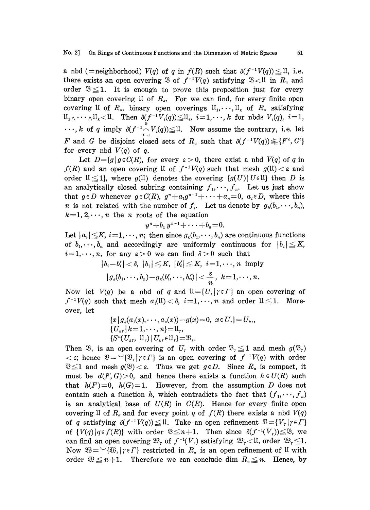a nbd (=neighborhood)  $V(q)$  of q in  $f(R)$  such that  $\delta(f^{-1}V(q)) \leq \mathfrak{U}$ , i.e. there exists an open covering  $\mathfrak{B}$  of  $f^{-1}V(q)$  satisfying  $\mathfrak{B} < \mathfrak{U}$  in  $R_{\alpha}$  and order  $\mathfrak{B} \leq 1$ . It is enough to prove this proposition just for every binary open covering  $\mathfrak l$  of  $R_{\alpha}$ . For we can find, for every finite open covering 11 of  $R_{\alpha}$ , binary open coverings  $\mathfrak{u}_1,\dots,\mathfrak{u}_k$  of  $R_{\alpha}$  satisfying  $\mathfrak{U}_1 \wedge \cdots \wedge \mathfrak{U}_k \leq \mathfrak{U}$ . Then  $\delta(f^{-1}V_i(q)) \leq \mathfrak{U}_i$ ,  $i=1,\dots,k$  for nbds  $V_i(q)$ ,  $i=1$ ,  $\cdots$ , k of q imply  $\delta(f^{-1} \bigcap_{i=1}^k V_i(q)) \leq \mathfrak{U}$ . Now assume the contrary, i.e. let F and G be disjoint closed sets of  $R_a$  such that  $\delta(f^{-1}V(q)) \leq F^c, G^c$ for every nbd  $V(q)$  of q.

Let  $D = \{g \mid g \in C(R)$ , for every  $\varepsilon > 0$ , there exist a nbd  $V(q)$  of q in  $f(R)$  and an open covering U of  $f^{-1}V(q)$  such that mesh  $g(1) < \varepsilon$  and order  $\mathfrak{U} \leq 1$ , where  $g(\mathfrak{U})$  denotes the covering  $\{g(U) | U \in \mathfrak{U}\}\)$  then D is an analytically closed subring containing  $f_1, \dots, f_n$ . Let us just show that  $g \in D$  whenever  $g \in C(R)$ ,  $g^{n} + a_1 g^{n-1} + \cdots + a_n = 0$ ,  $a_i \in D$ , where this *n* is not related with the number of  $f_i$ . Let us denote by  $g_k(b_1, \dots, b_n)$ ,  $k=1, 2, \dots, n$  the n roots of the equation

$$
y^n+b_1y^{n-1}+\cdots+b_n=0.
$$

Let  $|a_i| \leq K$ ,  $i=1,\dots, n$ ; then since  $g_k(b_1,\dots, b_n)$  are continuous functions of  $b_1, \dots, b_n$  and accordingly are uniformly continuous for  $|b_i| \leq K$ ,  $i=1,\dots,n$ , for any  $\varepsilon > 0$  we can find  $\delta > 0$  such that

> $|b_i-b'_i| < \delta, |b_i| \leq K, |b'_i| \leq K, i=1,\dots,n$  imply  $|g_k(b_1,\dots,b_n)-g_k(b'_1,\dots,b'_n)|<\frac{\varepsilon}{n},\,\,k=1,\dots,n.$

Now let  $V(q)$  be a nbd of q and  $\mathfrak{U}=\{U_r|\gamma\in\Gamma\}$  an open covering of  $f^{-1}V(q)$  such that mesh  $a_i(1) < \delta$ ,  $i=1,\dots, n$  and order  $1 \leq 1$ . Moreover, let

$$
\{x \mid g_k(a_1(x), \dots, a_n(x)) - g(x) = 0, \ x \in U_r\} = U_{k,r},
$$
  
\n
$$
\{U_{k,r} \mid k=1, \dots, n\} = \mathbb{U}_r,
$$
  
\n
$$
\{S^n(U_{k,r}, \mathbb{U}_r) \mid U_{k,r} \in \mathbb{U}_r\} = \mathfrak{B}_r.
$$

Then  $\mathfrak{B}_r$  is an open covering of  $U_r$  with order  $\mathfrak{B}_r \leq 1$  and mesh  $g(\mathfrak{B}_r)$  $<\epsilon$ ; hence  $\mathfrak{B}=\mathfrak{B}_{r}|\gamma\in\Gamma$  is an open covering of  $f^{-1}V(q)$  with order  $\mathfrak{B} \leq 1$  and mesh  $g(\mathfrak{B}) < \varepsilon$ . Thus we get  $g \in D$ . Since  $R_{\alpha}$  is compact, it must be  $d(F, G) > 0$ , and hence there exists a function  $h \in U(R)$  such that  $h(F)=0$ ,  $h(G)=1$ . However, from the assumption D does not contain such a function h, which contradicts the fact that  $(f_1, \dots, f_n)$ is an analytical base of  $U(R)$  in  $C(R)$ . Hence for every finite open covering II of  $R_a$  and for every point q of  $f(R)$  there exists a nbd  $V(q)$ of q satisfying  $\delta(f^{-1}V(q)) \leq \mathfrak{U}$ . Take an open refinement  $\mathfrak{B} = \{V_r | r \in \Gamma\}$  $\mathfrak{B} = \{V_r | \gamma \in \Gamma\}$ <br>  $(V_r) \leq \mathfrak{B}$ , we<br>
order  $\mathfrak{B}_r \leq 1$ . of  $\{V(q) | q \in f(R)\}$  with order  $\mathfrak{B} \leq n+1$ . Then since  $\delta(f^{-1}(V_r)) \leq \mathfrak{B}$ , we can find an open covering  $\mathfrak{B}_r$  of  $f^{-1}(V_r)$  satisfying  $\mathfrak{B}_r \leq \mathfrak{U}$ , order  $\mathfrak{B}_r \leq 1$ . Now  $\mathfrak{B} = \{ \mathfrak{B}_r | r \in \Gamma \}$  restricted in  $R_{\alpha}$  is an open refinement of U with order  $\mathfrak{B} \leq n+1$ . Therefore we can conclude dim  $R_{\alpha} \leq n$ . Hence, by